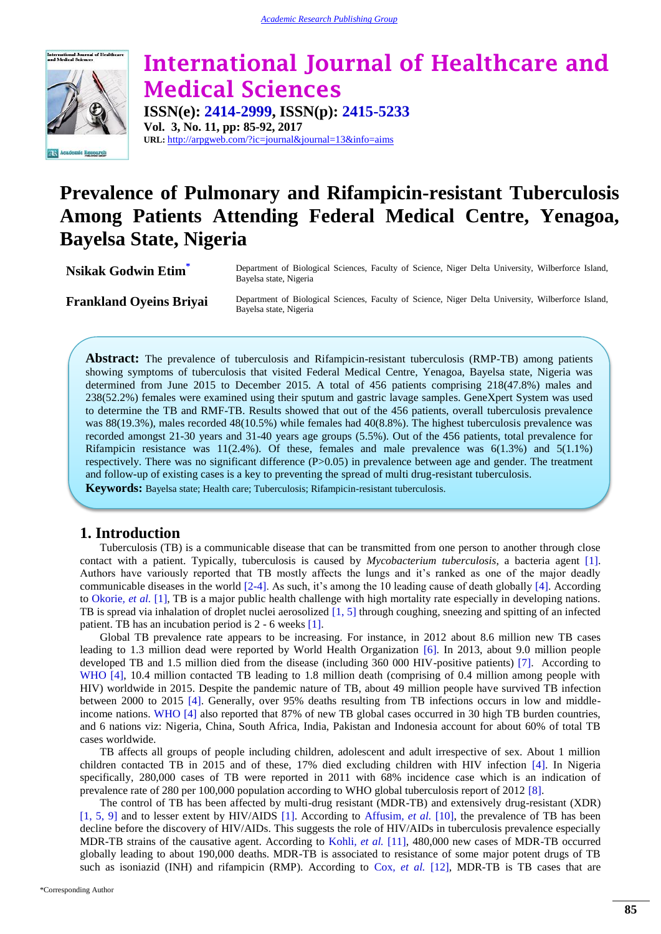

# **International Journal of Healthcare and Medical Sciences ISSN(e): 2414-2999, ISSN(p): 2415-5233**

**Vol. 3, No. 11, pp: 85-92, 2017 URL:** http://arpgweb.com/?ic=journal&journal=13&info=aims

# **Prevalence of Pulmonary and Rifampicin-resistant Tuberculosis Among Patients Attending Federal Medical Centre, Yenagoa, Bayelsa State, Nigeria**

**Nsikak Godwin Eti[m](#page-0-0)**<sup>\*</sup> Department of Biological Sciences, Faculty of Science, Niger Delta University, Wilberforce Island, Bayelsa state, Nigeria

Frankland Oyeins Briyai Department of Biological Sciences, Faculty of Science, Niger Delta University, Wilberforce Island, Bayelsa state, Nigeria

**Abstract:** The prevalence of tuberculosis and Rifampicin-resistant tuberculosis (RMP-TB) among patients showing symptoms of tuberculosis that visited Federal Medical Centre, Yenagoa, Bayelsa state, Nigeria was determined from June 2015 to December 2015. A total of 456 patients comprising 218(47.8%) males and 238(52.2%) females were examined using their sputum and gastric lavage samples. GeneXpert System was used to determine the TB and RMF-TB. Results showed that out of the 456 patients, overall tuberculosis prevalence was 88(19.3%), males recorded 48(10.5%) while females had 40(8.8%). The highest tuberculosis prevalence was recorded amongst 21-30 years and 31-40 years age groups (5.5%). Out of the 456 patients, total prevalence for Rifampicin resistance was 11(2.4%). Of these, females and male prevalence was 6(1.3%) and 5(1.1%) respectively. There was no significant difference (P>0.05) in prevalence between age and gender. The treatment and follow-up of existing cases is a key to preventing the spread of multi drug-resistant tuberculosis.

**Keywords:** Bayelsa state; Health care; Tuberculosis; Rifampicin-resistant tuberculosis.

# **1. Introduction**

Tuberculosis (TB) is a communicable disease that can be transmitted from one person to another through close contact with a patient. Typically, tuberculosis is caused by *Mycobacterium tuberculosis*, a bacteria agent [\[1\]](#page-5-0). Authors have variously reported that TB mostly affects the lungs and it's ranked as one of the major deadly communicable diseases in the world [\[2-4\]](#page-5-1). As such, it's among the 10 leading cause of death globally [\[4\]](#page-5-2). According to [Okorie](#page-5-0)*, et al.* [1], TB is a major public health challenge with high mortality rate especially in developing nations. TB is spread via inhalation of droplet nuclei aerosolized [\[1,](#page-5-0) [5\]](#page-6-0) through coughing, sneezing and spitting of an infected patient. TB has an incubation period is 2 - 6 weeks [\[1\]](#page-5-0).

Global TB prevalence rate appears to be increasing. For instance, in 2012 about 8.6 million new TB cases leading to 1.3 million dead were reported by World Health Organization [\[6\]](#page-6-1). In 2013, about 9.0 million people developed TB and 1.5 million died from the disease (including 360 000 HIV-positive patients) [\[7\]](#page-6-2). According to [WHO \[4\],](#page-5-2) 10.4 million contacted TB leading to 1.8 million death (comprising of 0.4 million among people with HIV) worldwide in 2015. Despite the pandemic nature of TB, about 49 million people have survived TB infection between 2000 to 2015 [\[4\]](#page-5-2). Generally, over 95% deaths resulting from TB infections occurs in low and middleincome nations. [WHO \[4\]](#page-5-2) also reported that 87% of new TB global cases occurred in 30 high TB burden countries, and 6 nations viz: Nigeria, China, South Africa, India, Pakistan and Indonesia account for about 60% of total TB cases worldwide.

TB affects all groups of people including children, adolescent and adult irrespective of sex. About 1 million children contacted TB in 2015 and of these, 17% died excluding children with HIV infection [\[4\]](#page-5-2). In Nigeria specifically, 280,000 cases of TB were reported in 2011 with 68% incidence case which is an indication of prevalence rate of 280 per 100,000 population according to WHO global tuberculosis report of 2012 [\[8\]](#page-6-3).

<span id="page-0-0"></span>The control of TB has been affected by multi-drug resistant (MDR-TB) and extensively drug-resistant (XDR) [\[1,](#page-5-0) [5,](#page-6-0) [9\]](#page-6-4) and to lesser extent by HIV/AIDS [\[1\]](#page-5-0). According to [Affusim](#page-6-5)*, et al.* [10], the prevalence of TB has been decline before the discovery of HIV/AIDs. This suggests the role of HIV/AIDs in tuberculosis prevalence especially MDR-TB strains of the causative agent. According to Kohli*[, et al.](#page-6-6)* [11], 480,000 new cases of MDR-TB occurred globally leading to about 190,000 deaths. MDR-TB is associated to resistance of some major potent drugs of TB such as isoniazid (INH) and rifampicin (RMP). According to Cox*[, et al.](#page-6-7)* [12], MDR-TB is TB cases that are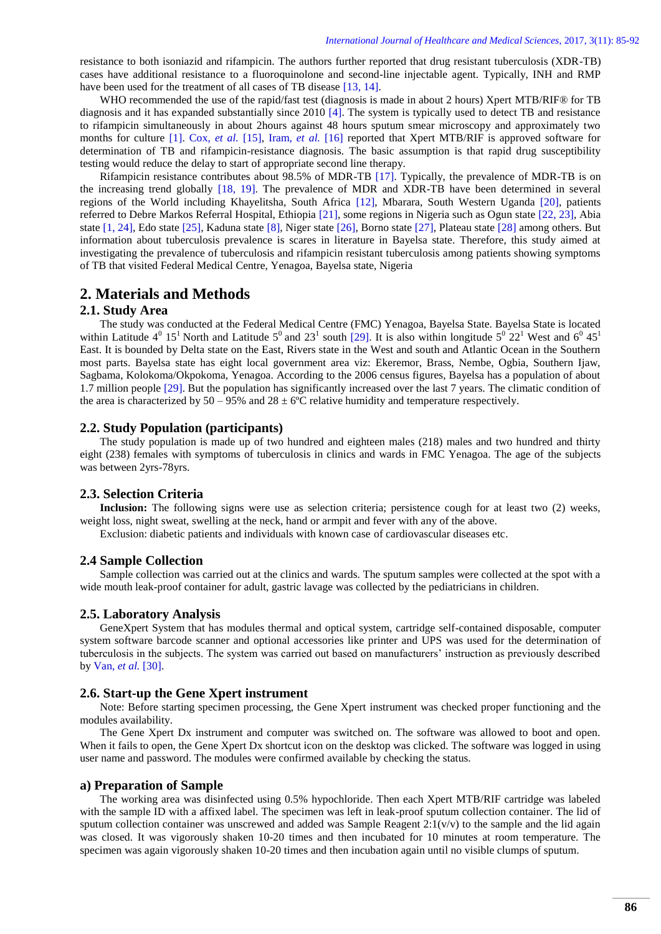resistance to both isoniazid and rifampicin. The authors further reported that drug resistant tuberculosis (XDR-TB) cases have additional resistance to a fluoroquinolone and second-line injectable agent. Typically, INH and RMP have been used for the treatment of all cases of TB disease [\[13,](#page-6-8) [14\]](#page-6-9).

WHO recommended the use of the rapid/fast test (diagnosis is made in about 2 hours) Xpert MTB/RIF® for TB diagnosis and it has expanded substantially since 2010 [\[4\]](#page-5-2). The system is typically used to detect TB and resistance to rifampicin simultaneously in about 2hours against 48 hours sputum smear microscopy and approximately two months for culture [\[1\]](#page-5-0). Cox*[, et al.](#page-6-10)* [15], Iram*[, et al.](#page-6-11)* [16] reported that Xpert MTB/RIF is approved software for determination of TB and rifampicin-resistance diagnosis. The basic assumption is that rapid drug susceptibility testing would reduce the delay to start of appropriate second line therapy.

Rifampicin resistance contributes about 98.5% of MDR-TB [\[17\]](#page-6-12). Typically, the prevalence of MDR-TB is on the increasing trend globally [\[18,](#page-6-13) [19\]](#page-6-14). The prevalence of MDR and XDR-TB have been determined in several regions of the World including Khayelitsha, South Africa [\[12\]](#page-6-7), Mbarara, South Western Uganda [\[20\]](#page-6-15), patients referred to Debre Markos Referral Hospital, Ethiopia [\[21\]](#page-6-16), some regions in Nigeria such as Ogun state [\[22,](#page-6-17) [23\]](#page-6-18), Abia state [\[1,](#page-5-0) [24\]](#page-6-19), Edo state [\[25\]](#page-6-20), Kaduna state [\[8\]](#page-6-3), Niger state [\[26\]](#page-6-21), Borno state [\[27\]](#page-7-0), Plateau state [\[28\]](#page-7-1) among others. But information about tuberculosis prevalence is scares in literature in Bayelsa state. Therefore, this study aimed at investigating the prevalence of tuberculosis and rifampicin resistant tuberculosis among patients showing symptoms of TB that visited Federal Medical Centre, Yenagoa, Bayelsa state, Nigeria

# **2. Materials and Methods**

### **2.1. Study Area**

The study was conducted at the Federal Medical Centre (FMC) Yenagoa, Bayelsa State. Bayelsa State is located within Latitude  $4^0$  15<sup>1</sup> North and Latitude 5<sup>0</sup> and 23<sup>1</sup> south [\[29\]](#page-7-2). It is also within longitude 5<sup>0</sup> 22<sup>1</sup> West and 6<sup>0</sup> 45<sup>1</sup> East. It is bounded by Delta state on the East, Rivers state in the West and south and Atlantic Ocean in the Southern most parts. Bayelsa state has eight local government area viz: Ekeremor, Brass, Nembe, Ogbia, Southern Ijaw, Sagbama, Kolokoma/Okpokoma, Yenagoa. According to the 2006 census figures, Bayelsa has a population of about 1.7 million people [\[29\]](#page-7-2). But the population has significantly increased over the last 7 years. The climatic condition of the area is characterized by  $50 - 95\%$  and  $28 \pm 6\degree$ C relative humidity and temperature respectively.

#### **2.2. Study Population (participants)**

The study population is made up of two hundred and eighteen males (218) males and two hundred and thirty eight (238) females with symptoms of tuberculosis in clinics and wards in FMC Yenagoa. The age of the subjects was between 2yrs-78yrs.

# **2.3. Selection Criteria**

**Inclusion:** The following signs were use as selection criteria; persistence cough for at least two (2) weeks, weight loss, night sweat, swelling at the neck, hand or armpit and fever with any of the above.

Exclusion: diabetic patients and individuals with known case of cardiovascular diseases etc.

#### **2.4 Sample Collection**

Sample collection was carried out at the clinics and wards. The sputum samples were collected at the spot with a wide mouth leak-proof container for adult, gastric lavage was collected by the pediatricians in children.

# **2.5. Laboratory Analysis**

GeneXpert System that has modules thermal and optical system, cartridge self-contained disposable, computer system software barcode scanner and optional accessories like printer and UPS was used for the determination of tuberculosis in the subjects. The system was carried out based on manufacturers' instruction as previously described by Van*[, et al.](#page-7-3)* [30].

#### **2.6. Start-up the Gene Xpert instrument**

Note: Before starting specimen processing, the Gene Xpert instrument was checked proper functioning and the modules availability.

The Gene Xpert Dx instrument and computer was switched on. The software was allowed to boot and open. When it fails to open, the Gene Xpert Dx shortcut icon on the desktop was clicked. The software was logged in using user name and password. The modules were confirmed available by checking the status.

#### **a) Preparation of Sample**

The working area was disinfected using 0.5% hypochloride. Then each Xpert MTB/RIF cartridge was labeled with the sample ID with a affixed label. The specimen was left in leak-proof sputum collection container. The lid of sputum collection container was unscrewed and added was Sample Reagent  $2:1(v/v)$  to the sample and the lid again was closed. It was vigorously shaken 10-20 times and then incubated for 10 minutes at room temperature. The specimen was again vigorously shaken 10-20 times and then incubation again until no visible clumps of sputum.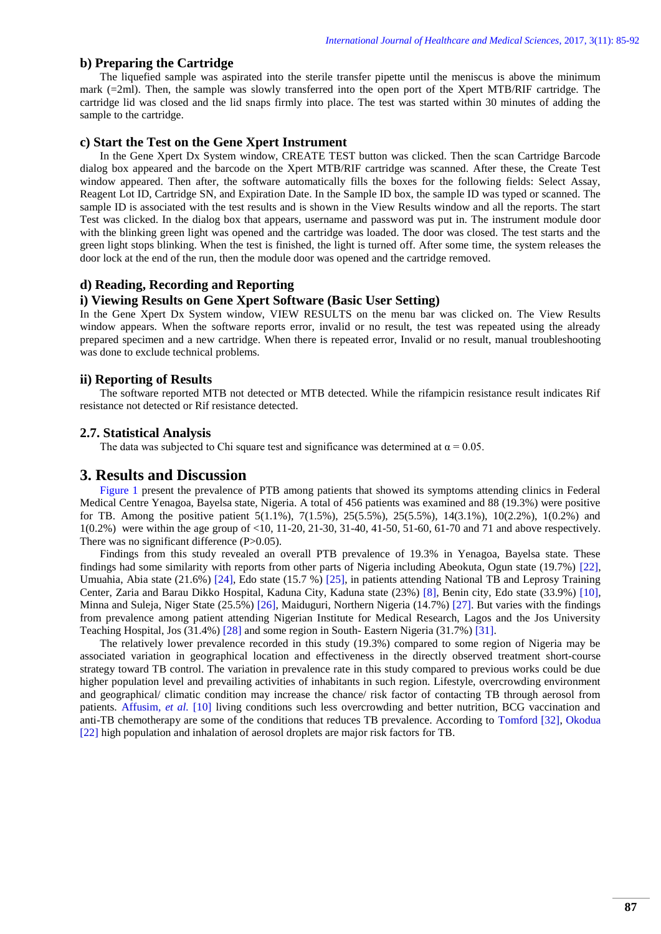# **b) Preparing the Cartridge**

The liquefied sample was aspirated into the sterile transfer pipette until the meniscus is above the minimum mark (=2ml). Then, the sample was slowly transferred into the open port of the Xpert MTB/RIF cartridge. The cartridge lid was closed and the lid snaps firmly into place. The test was started within 30 minutes of adding the sample to the cartridge.

#### **c) Start the Test on the Gene Xpert Instrument**

In the Gene Xpert Dx System window, CREATE TEST button was clicked. Then the scan Cartridge Barcode dialog box appeared and the barcode on the Xpert MTB/RIF cartridge was scanned. After these, the Create Test window appeared. Then after, the software automatically fills the boxes for the following fields: Select Assay, Reagent Lot ID, Cartridge SN, and Expiration Date. In the Sample ID box, the sample ID was typed or scanned. The sample ID is associated with the test results and is shown in the View Results window and all the reports. The start Test was clicked. In the dialog box that appears, username and password was put in. The instrument module door with the blinking green light was opened and the cartridge was loaded. The door was closed. The test starts and the green light stops blinking. When the test is finished, the light is turned off. After some time, the system releases the door lock at the end of the run, then the module door was opened and the cartridge removed.

# **d) Reading, Recording and Reporting**

# **i) Viewing Results on Gene Xpert Software (Basic User Setting)**

In the Gene Xpert Dx System window, VIEW RESULTS on the menu bar was clicked on. The View Results window appears. When the software reports error, invalid or no result, the test was repeated using the already prepared specimen and a new cartridge. When there is repeated error, Invalid or no result, manual troubleshooting was done to exclude technical problems.

#### **ii) Reporting of Results**

The software reported MTB not detected or MTB detected. While the rifampicin resistance result indicates Rif resistance not detected or Rif resistance detected.

#### **2.7. Statistical Analysis**

The data was subjected to Chi square test and significance was determined at  $\alpha = 0.05$ .

### **3. Results and Discussion**

[Figure 1](#page-3-0) present the prevalence of PTB among patients that showed its symptoms attending clinics in Federal Medical Centre Yenagoa, Bayelsa state, Nigeria. A total of 456 patients was examined and 88 (19.3%) were positive for TB. Among the positive patient 5(1.1%), 7(1.5%), 25(5.5%), 25(5.5%), 14(3.1%), 10(2.2%), 1(0.2%) and 1(0.2%) were within the age group of <10, 11-20, 21-30, 31-40, 41-50, 51-60, 61-70 and 71 and above respectively. There was no significant difference (P>0.05).

Findings from this study revealed an overall PTB prevalence of 19.3% in Yenagoa, Bayelsa state. These findings had some similarity with reports from other parts of Nigeria including Abeokuta, Ogun state (19.7%) [\[22\]](#page-6-17), Umuahia, Abia state (21.6%) [\[24\]](#page-6-19), Edo state (15.7 %) [\[25\]](#page-6-20), in patients attending National TB and Leprosy Training Center, Zaria and Barau Dikko Hospital, Kaduna City, Kaduna state (23%) [\[8\]](#page-6-3), Benin city, Edo state (33.9%) [\[10\]](#page-6-5), Minna and Suleja, Niger State (25.5%) [\[26\]](#page-6-21), Maiduguri, Northern Nigeria (14.7%) [\[27\]](#page-7-0). But varies with the findings from prevalence among patient attending Nigerian Institute for Medical Research, Lagos and the Jos University Teaching Hospital, Jos (31.4%) [\[28\]](#page-7-1) and some region in South- Eastern Nigeria (31.7%) [\[31\]](#page-7-4).

The relatively lower prevalence recorded in this study (19.3%) compared to some region of Nigeria may be associated variation in geographical location and effectiveness in the directly observed treatment short-course strategy toward TB control. The variation in prevalence rate in this study compared to previous works could be due higher population level and prevailing activities of inhabitants in such region. Lifestyle, overcrowding environment and geographical/ climatic condition may increase the chance/ risk factor of contacting TB through aerosol from patients. [Affusim](#page-6-5)*, et al.* [10] living conditions such less overcrowding and better nutrition, BCG vaccination and anti-TB chemotherapy are some of the conditions that reduces TB prevalence. According to [Tomford \[32\],](#page-7-5) [Okodua](#page-6-17)  [22] high population and inhalation of aerosol droplets are major risk factors for TB.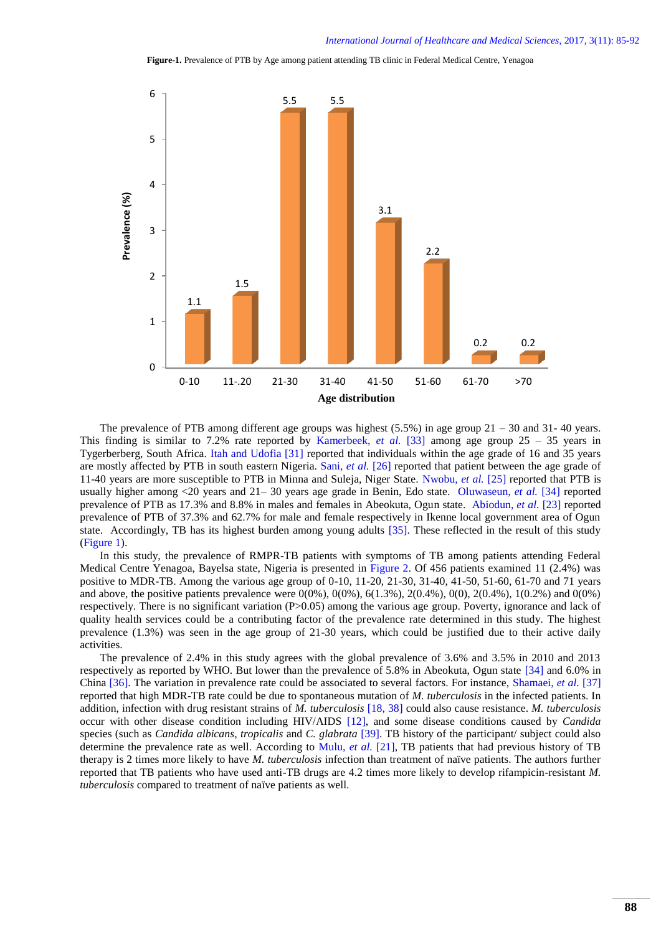**Figure-1.** Prevalence of PTB by Age among patient attending TB clinic in Federal Medical Centre, Yenagoa



The prevalence of PTB among different age groups was highest  $(5.5%)$  in age group  $21 - 30$  and  $31 - 40$  years. This finding is similar to 7.2% rate reported by [Kamerbeek](#page-7-6)*, et al.* [33] among age group 25 – 35 years in Tygerberberg, South Africa. [Itah and Udofia \[31\]](#page-7-4) reported that individuals within the age grade of 16 and 35 years are mostly affected by PTB in south eastern Nigeria. Sani*[, et al.](#page-6-21)* [26] reported that patient between the age grade of 11-40 years are more susceptible to PTB in Minna and Suleja, Niger State. [Nwobu](#page-6-20)*, et al.* [25] reported that PTB is usually higher among <20 years and 21– 30 years age grade in Benin, Edo state. [Oluwaseun](#page-7-7)*, et al.* [34] reported prevalence of PTB as 17.3% and 8.8% in males and females in Abeokuta, Ogun state. [Abiodun](#page-6-18)*, et al.* [23] reported prevalence of PTB of 37.3% and 62.7% for male and female respectively in Ikenne local government area of Ogun state.Accordingly, TB has its highest burden among young adults [\[35\]](#page-7-8). These reflected in the result of this study [\(Figure 1\)](#page-3-0).

<span id="page-3-0"></span>In this study, the prevalence of RMPR-TB patients with symptoms of TB among patients attending Federal Medical Centre Yenagoa, Bayelsa state, Nigeria is presented in [Figure 2.](#page-4-0) Of 456 patients examined 11 (2.4%) was positive to MDR-TB. Among the various age group of 0-10, 11-20, 21-30, 31-40, 41-50, 51-60, 61-70 and 71 years and above, the positive patients prevalence were  $0(0\%)$ ,  $0(0\%)$ ,  $6(1.3\%)$ ,  $2(0.4\%)$ ,  $0(0)$ ,  $2(0.4\%)$ ,  $1(0.2\%)$  and  $0(0\%)$ respectively. There is no significant variation (P>0.05) among the various age group. Poverty, ignorance and lack of quality health services could be a contributing factor of the prevalence rate determined in this study. The highest prevalence (1.3%) was seen in the age group of 21-30 years, which could be justified due to their active daily activities.

The prevalence of 2.4% in this study agrees with the global prevalence of 3.6% and 3.5% in 2010 and 2013 respectively as reported by WHO. But lower than the prevalence of 5.8% in Abeokuta, Ogun state [\[34\]](#page-7-7) and 6.0% in China [\[36\]](#page-7-9). The variation in prevalence rate could be associated to several factors. For instance, [Shamaei](#page-7-10)*, et al.* [37] reported that high MDR-TB rate could be due to spontaneous mutation of *M. tuberculosis* in the infected patients. In addition, infection with drug resistant strains of *M. tuberculosis* [\[18,](#page-6-13) [38\]](#page-7-11) could also cause resistance. *M. tuberculosis* occur with other disease condition including HIV/AIDS [\[12\]](#page-6-7), and some disease conditions caused by *Candida*  species (such as *Candida albicans*, *tropicalis* and *C. glabrata* [\[39\]](#page-7-12). TB history of the participant/ subject could also determine the prevalence rate as well. According to Mulu*[, et al.](#page-6-16)* [21], TB patients that had previous history of TB therapy is 2 times more likely to have *M. tuberculosis* infection than treatment of naïve patients. The authors further reported that TB patients who have used anti-TB drugs are 4.2 times more likely to develop rifampicin-resistant *M. tuberculosis* compared to treatment of naïve patients as well.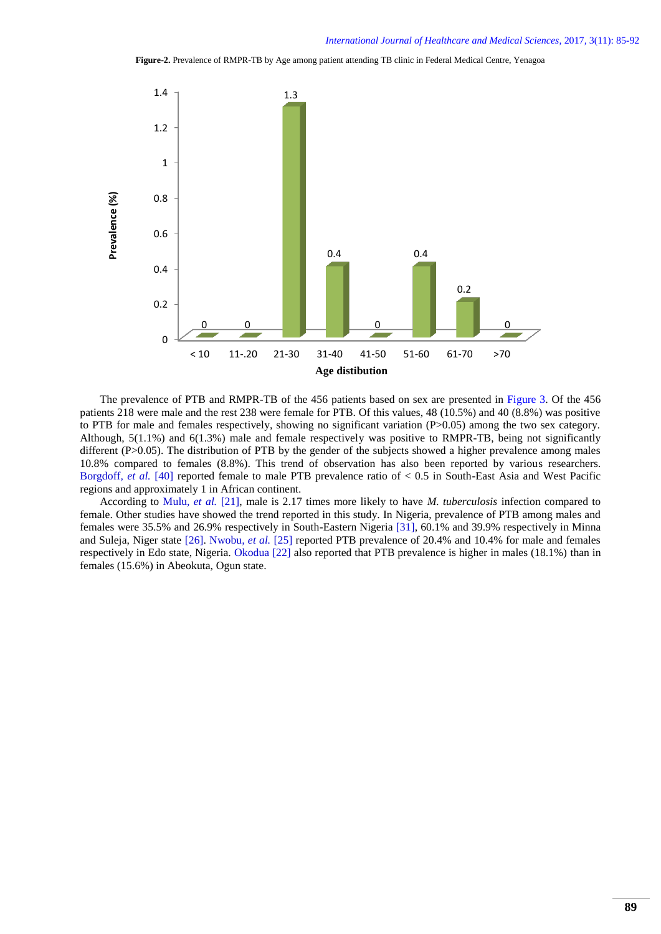**Figure-2.** Prevalence of RMPR-TB by Age among patient attending TB clinic in Federal Medical Centre, Yenagoa

<span id="page-4-0"></span>

The prevalence of PTB and RMPR-TB of the 456 patients based on sex are presented in [Figure 3.](#page-5-3) Of the 456 patients 218 were male and the rest 238 were female for PTB. Of this values, 48 (10.5%) and 40 (8.8%) was positive to PTB for male and females respectively, showing no significant variation (P>0.05) among the two sex category. Although, 5(1.1%) and 6(1.3%) male and female respectively was positive to RMPR-TB, being not significantly different (P>0.05). The distribution of PTB by the gender of the subjects showed a higher prevalence among males 10.8% compared to females (8.8%). This trend of observation has also been reported by various researchers. [Borgdoff](#page-7-13)*, et al.* [40] reported female to male PTB prevalence ratio of < 0.5 in South-East Asia and West Pacific regions and approximately 1 in African continent.

According to Mulu*[, et al.](#page-6-16)* [21], male is 2.17 times more likely to have *M. tuberculosis* infection compared to female. Other studies have showed the trend reported in this study. In Nigeria, prevalence of PTB among males and females were 35.5% and 26.9% respectively in South-Eastern Nigeria [\[31\]](#page-7-4), 60.1% and 39.9% respectively in Minna and Suleja, Niger state [\[26\]](#page-6-21). [Nwobu](#page-6-20)*, et al.* [25] reported PTB prevalence of 20.4% and 10.4% for male and females respectively in Edo state, Nigeria. [Okodua \[22\]](#page-6-17) also reported that PTB prevalence is higher in males (18.1%) than in females (15.6%) in Abeokuta, Ogun state.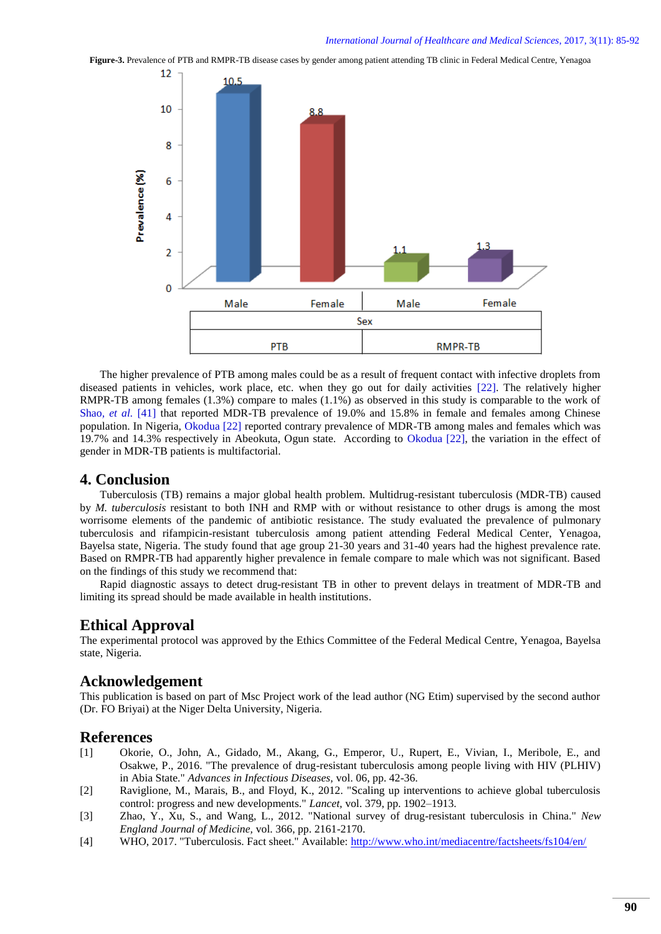<span id="page-5-3"></span>**Figure-3.** Prevalence of PTB and RMPR-TB disease cases by gender among patient attending TB clinic in Federal Medical Centre, Yenagoa



The higher prevalence of PTB among males could be as a result of frequent contact with infective droplets from diseased patients in vehicles, work place, etc. when they go out for daily activities [\[22\]](#page-6-17). The relatively higher RMPR-TB among females (1.3%) compare to males (1.1%) as observed in this study is comparable to the work of Shao[, et al.](#page-7-14) [41] that reported MDR-TB prevalence of 19.0% and 15.8% in female and females among Chinese population. In Nigeria, [Okodua \[22\]](#page-6-17) reported contrary prevalence of MDR-TB among males and females which was 19.7% and 14.3% respectively in Abeokuta, Ogun state. According to [Okodua \[22\],](#page-6-17) the variation in the effect of gender in MDR-TB patients is multifactorial.

# **4. Conclusion**

Tuberculosis (TB) remains a major global health problem. Multidrug-resistant tuberculosis (MDR-TB) caused by *M. tuberculosis* resistant to both INH and RMP with or without resistance to other drugs is among the most worrisome elements of the pandemic of antibiotic resistance. The study evaluated the prevalence of pulmonary tuberculosis and rifampicin-resistant tuberculosis among patient attending Federal Medical Center, Yenagoa, Bayelsa state, Nigeria. The study found that age group 21-30 years and 31-40 years had the highest prevalence rate. Based on RMPR-TB had apparently higher prevalence in female compare to male which was not significant. Based on the findings of this study we recommend that:

Rapid diagnostic assays to detect drug-resistant TB in other to prevent delays in treatment of MDR-TB and limiting its spread should be made available in health institutions.

# **Ethical Approval**

The experimental protocol was approved by the Ethics Committee of the Federal Medical Centre, Yenagoa, Bayelsa state, Nigeria.

# **Acknowledgement**

This publication is based on part of Msc Project work of the lead author (NG Etim) supervised by the second author (Dr. FO Briyai) at the Niger Delta University, Nigeria.

# **References**

- <span id="page-5-0"></span>[1] Okorie, O., John, A., Gidado, M., Akang, G., Emperor, U., Rupert, E., Vivian, I., Meribole, E., and Osakwe, P., 2016. "The prevalence of drug-resistant tuberculosis among people living with HIV (PLHIV) in Abia State." *Advances in Infectious Diseases,* vol. 06, pp. 42-36.
- <span id="page-5-1"></span>[2] Raviglione, M., Marais, B., and Floyd, K., 2012. "Scaling up interventions to achieve global tuberculosis control: progress and new developments." *Lancet,* vol. 379, pp. 1902–1913.
- [3] Zhao, Y., Xu, S., and Wang, L., 2012. "National survey of drug-resistant tuberculosis in China." *New England Journal of Medicine,* vol. 366, pp. 2161-2170.
- <span id="page-5-2"></span>[4] WHO, 2017. "Tuberculosis. Fact sheet." Available:<http://www.who.int/mediacentre/factsheets/fs104/en/>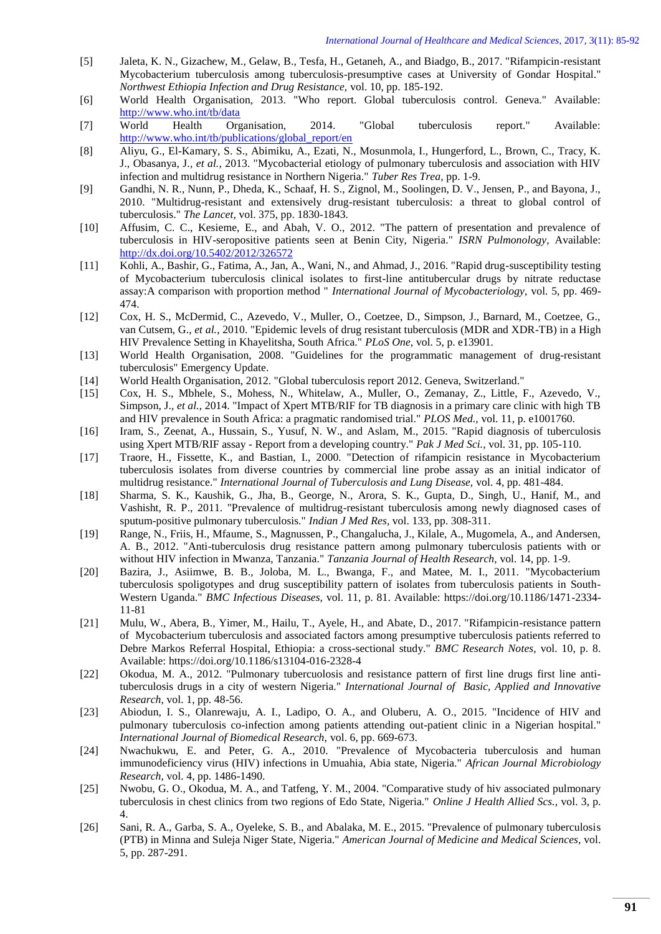- <span id="page-6-0"></span>[5] Jaleta, K. N., Gizachew, M., Gelaw, B., Tesfa, H., Getaneh, A., and Biadgo, B., 2017. "Rifampicin-resistant Mycobacterium tuberculosis among tuberculosis-presumptive cases at University of Gondar Hospital." *Northwest Ethiopia Infection and Drug Resistance,* vol. 10, pp. 185-192.
- <span id="page-6-1"></span>[6] World Health Organisation, 2013. "Who report. Global tuberculosis control. Geneva." Available: <http://www.who.int/tb/data>
- <span id="page-6-2"></span>[7] World Health Organisation, 2014. "Global tuberculosis report." Available: [http://www.who.int/tb/publications/global\\_report/en](http://www.who.int/tb/publications/global_report/en)
- <span id="page-6-3"></span>[8] Aliyu, G., El-Kamary, S. S., Abimiku, A., Ezati, N., Mosunmola, I., Hungerford, L., Brown, C., Tracy, K. J., Obasanya, J.*, et al.*, 2013. "Mycobacterial etiology of pulmonary tuberculosis and association with HIV infection and multidrug resistance in Northern Nigeria." *Tuber Res Trea,* pp. 1-9.
- <span id="page-6-4"></span>[9] Gandhi, N. R., Nunn, P., Dheda, K., Schaaf, H. S., Zignol, M., Soolingen, D. V., Jensen, P., and Bayona, J., 2010. "Multidrug-resistant and extensively drug-resistant tuberculosis: a threat to global control of tuberculosis." *The Lancet,* vol. 375, pp. 1830-1843.
- <span id="page-6-5"></span>[10] Affusim, C. C., Kesieme, E., and Abah, V. O., 2012. "The pattern of presentation and prevalence of tuberculosis in HIV-seropositive patients seen at Benin City, Nigeria." *ISRN Pulmonology,* Available: <http://dx.doi.org/10.5402/2012/326572>
- <span id="page-6-6"></span>[11] Kohli, A., Bashir, G., Fatima, A., Jan, A., Wani, N., and Ahmad, J., 2016. "Rapid drug-susceptibility testing of Mycobacterium tuberculosis clinical isolates to first-line antitubercular drugs by nitrate reductase assay:A comparison with proportion method " *International Journal of Mycobacteriology,* vol. 5, pp. 469- 474.
- <span id="page-6-7"></span>[12] Cox, H. S., McDermid, C., Azevedo, V., Muller, O., Coetzee, D., Simpson, J., Barnard, M., Coetzee, G., van Cutsem, G.*, et al.*, 2010. "Epidemic levels of drug resistant tuberculosis (MDR and XDR-TB) in a High HIV Prevalence Setting in Khayelitsha, South Africa." *PLoS One,* vol. 5, p. e13901.
- <span id="page-6-8"></span>[13] World Health Organisation, 2008. "Guidelines for the programmatic management of drug-resistant tuberculosis" Emergency Update.
- <span id="page-6-9"></span>[14] World Health Organisation, 2012. "Global tuberculosis report 2012. Geneva, Switzerland."
- <span id="page-6-10"></span>[15] Cox, H. S., Mbhele, S., Mohess, N., Whitelaw, A., Muller, O., Zemanay, Z., Little, F., Azevedo, V., Simpson, J.*, et al.*, 2014. "Impact of Xpert MTB/RIF for TB diagnosis in a primary care clinic with high TB and HIV prevalence in South Africa: a pragmatic randomised trial." *PLOS Med.,* vol. 11, p. e1001760.
- <span id="page-6-11"></span>[16] Iram, S., Zeenat, A., Hussain, S., Yusuf, N. W., and Aslam, M., 2015. "Rapid diagnosis of tuberculosis using Xpert MTB/RIF assay - Report from a developing country." *Pak J Med Sci.,* vol. 31, pp. 105-110.
- <span id="page-6-12"></span>[17] Traore, H., Fissette, K., and Bastian, I., 2000. "Detection of rifampicin resistance in Mycobacterium tuberculosis isolates from diverse countries by commercial line probe assay as an initial indicator of multidrug resistance." *International Journal of Tuberculosis and Lung Disease,* vol. 4, pp. 481-484.
- <span id="page-6-13"></span>[18] Sharma, S. K., Kaushik, G., Jha, B., George, N., Arora, S. K., Gupta, D., Singh, U., Hanif, M., and Vashisht, R. P., 2011. "Prevalence of multidrug-resistant tuberculosis among newly diagnosed cases of sputum-positive pulmonary tuberculosis." *Indian J Med Res,* vol. 133, pp. 308-311.
- <span id="page-6-14"></span>[19] Range, N., Friis, H., Mfaume, S., Magnussen, P., Changalucha, J., Kilale, A., Mugomela, A., and Andersen, A. B., 2012. "Anti-tuberculosis drug resistance pattern among pulmonary tuberculosis patients with or without HIV infection in Mwanza, Tanzania." *Tanzania Journal of Health Research,* vol. 14, pp. 1-9.
- <span id="page-6-15"></span>[20] Bazira, J., Asiimwe, B. B., Joloba, M. L., Bwanga, F., and Matee, M. I., 2011. "Mycobacterium tuberculosis spoligotypes and drug susceptibility pattern of isolates from tuberculosis patients in South-Western Uganda." *BMC Infectious Diseases,* vol. 11, p. 81. Available: https://doi.org/10.1186/1471-2334- 11-81
- <span id="page-6-16"></span>[21] Mulu, W., Abera, B., Yimer, M., Hailu, T., Ayele, H., and Abate, D., 2017. "Rifampicin-resistance pattern of Mycobacterium tuberculosis and associated factors among presumptive tuberculosis patients referred to Debre Markos Referral Hospital, Ethiopia: a cross-sectional study." *BMC Research Notes,* vol. 10, p. 8. Available: https://doi.org/10.1186/s13104-016-2328-4
- <span id="page-6-17"></span>[22] Okodua, M. A., 2012. "Pulmonary tubercuolosis and resistance pattern of first line drugs first line antituberculosis drugs in a city of western Nigeria." *International Journal of Basic, Applied and Innovative Research,* vol. 1, pp. 48-56.
- <span id="page-6-18"></span>[23] Abiodun, I. S., Olanrewaju, A. I., Ladipo, O. A., and Oluberu, A. O., 2015. "Incidence of HIV and pulmonary tuberculosis co-infection among patients attending out-patient clinic in a Nigerian hospital." *International Journal of Biomedical Research,* vol. 6, pp. 669-673.
- <span id="page-6-19"></span>[24] Nwachukwu, E. and Peter, G. A., 2010. "Prevalence of Mycobacteria tuberculosis and human immunodeficiency virus (HIV) infections in Umuahia, Abia state, Nigeria." *African Journal Microbiology Research,* vol. 4, pp. 1486-1490.
- <span id="page-6-20"></span>[25] Nwobu, G. O., Okodua, M. A., and Tatfeng, Y. M., 2004. "Comparative study of hiv associated pulmonary tuberculosis in chest clinics from two regions of Edo State, Nigeria." *Online J Health Allied Scs.,* vol. 3, p. 4.
- <span id="page-6-21"></span>[26] Sani, R. A., Garba, S. A., Oyeleke, S. B., and Abalaka, M. E., 2015. "Prevalence of pulmonary tuberculosis (PTB) in Minna and Suleja Niger State, Nigeria." *American Journal of Medicine and Medical Sciences,* vol. 5, pp. 287-291.